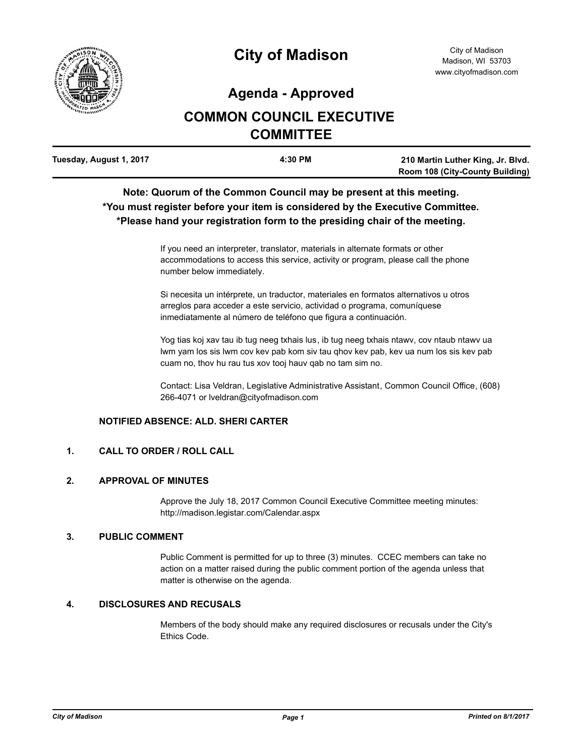

# **City of Madison**

## **Agenda - Approved**

## **COMMON COUNCIL EXECUTIVE COMMITTEE**

| Tuesday, August 1, 2017 | 4:30 PM | 210 Martin Luther King, Jr. Blvd.      |
|-------------------------|---------|----------------------------------------|
|                         |         | <b>Room 108 (City-County Building)</b> |

### **Note: Quorum of the Common Council may be present at this meeting. \*You must register before your item is considered by the Executive Committee. \*Please hand your registration form to the presiding chair of the meeting.**

If you need an interpreter, translator, materials in alternate formats or other accommodations to access this service, activity or program, please call the phone number below immediately.

Si necesita un intérprete, un traductor, materiales en formatos alternativos u otros arreglos para acceder a este servicio, actividad o programa, comuníquese inmediatamente al número de teléfono que figura a continuación.

Yog tias koj xav tau ib tug neeg txhais lus, ib tug neeg txhais ntawv, cov ntaub ntawv ua lwm yam los sis lwm cov kev pab kom siv tau qhov kev pab, kev ua num los sis kev pab cuam no, thov hu rau tus xov tooj hauv qab no tam sim no.

Contact: Lisa Veldran, Legislative Administrative Assistant, Common Council Office, (608) 266-4071 or lveldran@cityofmadison.com

#### **NOTIFIED ABSENCE: ALD. SHERI CARTER**

#### **1. CALL TO ORDER / ROLL CALL**

#### **2. APPROVAL OF MINUTES**

Approve the July 18, 2017 Common Council Executive Committee meeting minutes: http://madison.legistar.com/Calendar.aspx

#### **3. PUBLIC COMMENT**

Public Comment is permitted for up to three (3) minutes. CCEC members can take no action on a matter raised during the public comment portion of the agenda unless that matter is otherwise on the agenda.

#### **4. DISCLOSURES AND RECUSALS**

Members of the body should make any required disclosures or recusals under the City's Ethics Code.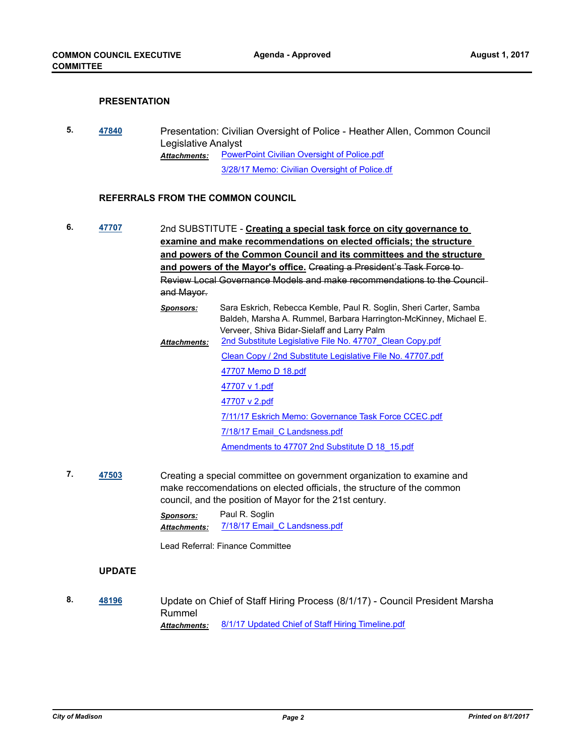#### **PRESENTATION**

**5. [47840](http://madison.legistar.com/gateway.aspx?m=l&id=/matter.aspx?key=51788)** Presentation: Civilian Oversight of Police - Heather Allen, Common Council Legislative Analyst [PowerPoint Civilian Oversight of Police.pdf](http://madison.legistar.com/gateway.aspx?M=F&ID=af7a2ca5-ba7f-4da6-bfeb-e3bfded7bb13.pdf) [3/28/17 Memo: Civilian Oversight of Police.df](http://madison.legistar.com/gateway.aspx?M=F&ID=b66da777-3c1c-4c62-aa22-f03b4684cbe8.pdf) *Attachments:*

#### **REFERRALS FROM THE COMMON COUNCIL**

- **6. [47707](http://madison.legistar.com/gateway.aspx?m=l&id=/matter.aspx?key=51657)** 2nd SUBSTITUTE **Creating a special task force on city governance to examine and make recommendations on elected officials; the structure and powers of the Common Council and its committees and the structure and powers of the Mayor's office.** Creating a President's Task Force to Review Local Governance Models and make recommendations to the Council and Mayor. *Sponsors:* Sara Eskrich, Rebecca Kemble, Paul R. Soglin, Sheri Carter, Samba Baldeh, Marsha A. Rummel, Barbara Harrington-McKinney, Michael E. Verveer, Shiva Bidar-Sielaff and Larry Palm 2nd Substitute Legislative File No. 47707 Clean Copy.pdf [Clean Copy / 2nd Substitute Legislative File No. 47707.pdf](http://madison.legistar.com/gateway.aspx?M=F&ID=4f451832-363b-46fc-aa82-b91818135ea7.pdf) [47707 Memo D 18.pdf](http://madison.legistar.com/gateway.aspx?M=F&ID=a762c1b3-7f78-43e3-a59b-88f260695a6d.pdf) *Attachments:*
	- [47707 v 1.pdf](http://madison.legistar.com/gateway.aspx?M=F&ID=5282b0e3-8ac9-430d-a9d8-bfc5f08bfeea.pdf) [47707 v 2.pdf](http://madison.legistar.com/gateway.aspx?M=F&ID=79cd8f59-ddd6-48aa-8b46-9e98447a3f25.pdf) [7/11/17 Eskrich Memo: Governance Task Force CCEC.pdf](http://madison.legistar.com/gateway.aspx?M=F&ID=3e272ece-b2a5-4a94-bbb2-2da8dcebd452.pdf) [7/18/17 Email\\_C Landsness.pdf](http://madison.legistar.com/gateway.aspx?M=F&ID=ae3c954b-a312-409d-9fba-4a0a015ea457.pdf) [Amendments to 47707 2nd Substitute D 18\\_15.pdf](http://madison.legistar.com/gateway.aspx?M=F&ID=e6e602ee-0d51-4ddf-ab2e-e895abfb4cf4.pdf)
- **7. [47503](http://madison.legistar.com/gateway.aspx?m=l&id=/matter.aspx?key=51471)** Creating a special committee on government organization to examine and make reccomendations on elected officials, the structure of the common council, and the position of Mayor for the 21st century.

*Sponsors:* Paul R. Soglin *Attachments:* [7/18/17 Email\\_C Landsness.pdf](http://madison.legistar.com/gateway.aspx?M=F&ID=48ef1c78-957a-4120-b1af-80760c1ddc3a.pdf)

Lead Referral: Finance Committee

#### **UPDATE**

**8. [48196](http://madison.legistar.com/gateway.aspx?m=l&id=/matter.aspx?key=52114)** Update on Chief of Staff Hiring Process (8/1/17) - Council President Marsha Rummel *Attachments:* [8/1/17 Updated Chief of Staff Hiring Timeline.pdf](http://madison.legistar.com/gateway.aspx?M=F&ID=fb0988a3-fef9-4de2-974b-165d0d27121c.pdf)